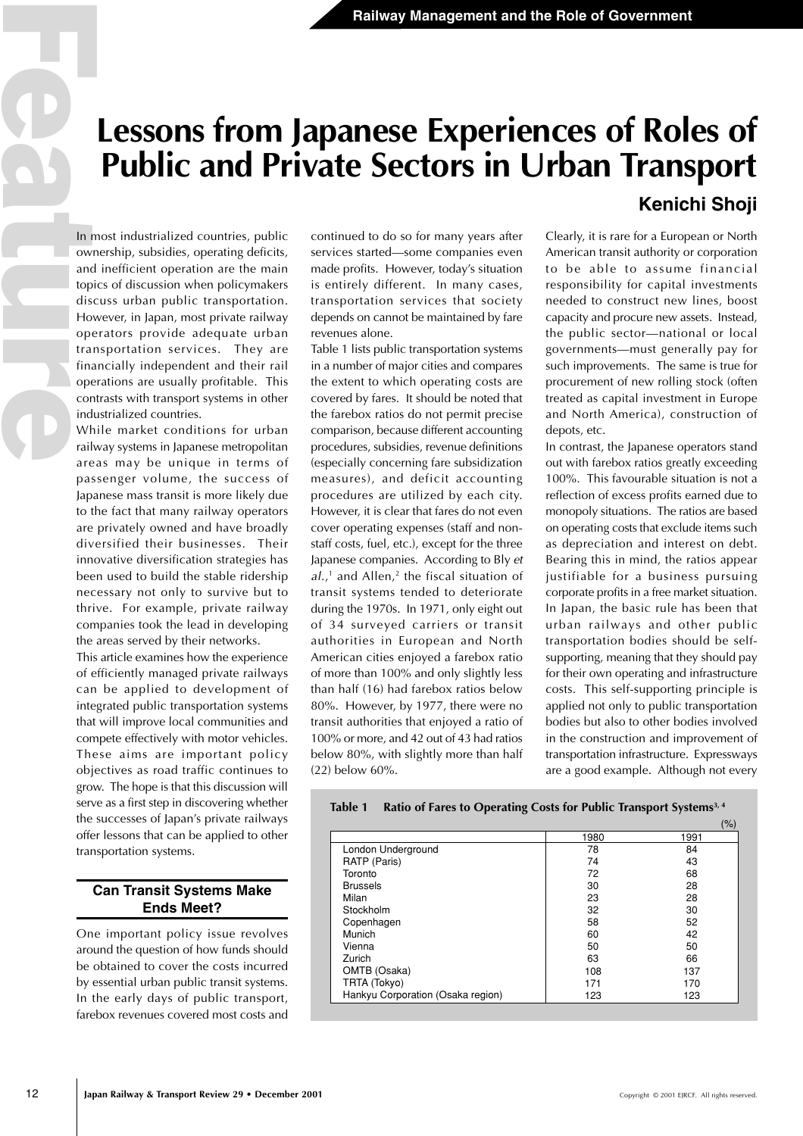# **Lessons from Japanese Experiences of Roles of Public and Private Sectors in Urban Transport Kenichi Shoji**

## In most industrialized countries, public ownership, subsidies, operating deficits, and inefficient operation are the main topics of discussion when policymakers discuss urban public transportation. However, in Japan, most private railway operators provide adequate urban transportation services. They are financially independent and their rail operations are usually profitable. This contrasts with transport systems in other industrialized countries.

**Example 12**<br> **Example 12**<br> **Example 12**<br> **Example 12**<br> **Example 12**<br> **Example 12**<br> **Example 12**<br> **Example 12**<br> **Example 12**<br> **Example 12**<br> **Example 12**<br> **Example 12**<br> **Example 12**<br> **Example 12**<br> **Example 12**<br> **Example 12** While market conditions for urban railway systems in Japanese metropolitan areas may be unique in terms of passenger volume, the success of Japanese mass transit is more likely due to the fact that many railway operators are privately owned and have broadly diversified their businesses. Their innovative diversification strategies has been used to build the stable ridership necessary not only to survive but to thrive. For example, private railway companies took the lead in developing the areas served by their networks.

This article examines how the experience of efficiently managed private railways can be applied to development of integrated public transportation systems that will improve local communities and compete effectively with motor vehicles. These aims are important policy objectives as road traffic continues to grow. The hope is that this discussion will serve as a first step in discovering whether the successes of Japan's private railways offer lessons that can be applied to other transportation systems.

## **Can Transit Systems Make Ends Meet?**

One important policy issue revolves around the question of how funds should be obtained to cover the costs incurred by essential urban public transit systems. In the early days of public transport, farebox revenues covered most costs and continued to do so for many years after services started—some companies even made profits. However, today's situation is entirely different. In many cases, transportation services that society depends on cannot be maintained by fare revenues alone.

Table 1 lists public transportation systems in a number of major cities and compares the extent to which operating costs are covered by fares. It should be noted that the farebox ratios do not permit precise comparison, because different accounting procedures, subsidies, revenue definitions (especially concerning fare subsidization measures), and deficit accounting procedures are utilized by each city. However, it is clear that fares do not even cover operating expenses (staff and nonstaff costs, fuel, etc.), except for the three Japanese companies. According to Bly et  $al.$ ,<sup>1</sup> and Allen,<sup>2</sup> the fiscal situation of transit systems tended to deteriorate during the 1970s. In 1971, only eight out of 34 surveyed carriers or transit authorities in European and North American cities enjoyed a farebox ratio of more than 100% and only slightly less than half (16) had farebox ratios below 80%. However, by 1977, there were no transit authorities that enjoyed a ratio of 100% or more, and 42 out of 43 had ratios below 80%, with slightly more than half (22) below 60%.

Clearly, it is rare for a European or North American transit authority or corporation to be able to assume financial responsibility for capital investments needed to construct new lines, boost capacity and procure new assets. Instead, the public sector—national or local governments—must generally pay for such improvements. The same is true for procurement of new rolling stock (often treated as capital investment in Europe and North America), construction of depots, etc.

In contrast, the Japanese operators stand out with farebox ratios greatly exceeding 100%. This favourable situation is not a reflection of excess profits earned due to monopoly situations. The ratios are based on operating costs that exclude items such as depreciation and interest on debt. Bearing this in mind, the ratios appear justifiable for a business pursuing corporate profits in a free market situation. In Japan, the basic rule has been that urban railways and other public transportation bodies should be selfsupporting, meaning that they should pay for their own operating and infrastructure costs. This self-supporting principle is applied not only to public transportation bodies but also to other bodies involved in the construction and improvement of transportation infrastructure. Expressways are a good example. Although not every

| Table 1 Ratio of Fares to Operating Costs for Public Transport Systems <sup>3, 4</sup> |  |  |  |  |  |
|----------------------------------------------------------------------------------------|--|--|--|--|--|
|----------------------------------------------------------------------------------------|--|--|--|--|--|

|                                   |      | (%)  |
|-----------------------------------|------|------|
|                                   | 1980 | 1991 |
| London Underground                | 78   | 84   |
| RATP (Paris)                      | 74   | 43   |
| Toronto                           | 72   | 68   |
| <b>Brussels</b>                   | 30   | 28   |
| Milan                             | 23   | 28   |
| Stockholm                         | 32   | 30   |
| Copenhagen                        | 58   | 52   |
| Munich                            | 60   | 42   |
| Vienna                            | 50   | 50   |
| Zurich                            | 63   | 66   |
| OMTB (Osaka)                      | 108  | 137  |
| TRTA (Tokyo)                      | 171  | 170  |
| Hankyu Corporation (Osaka region) | 123  | 123  |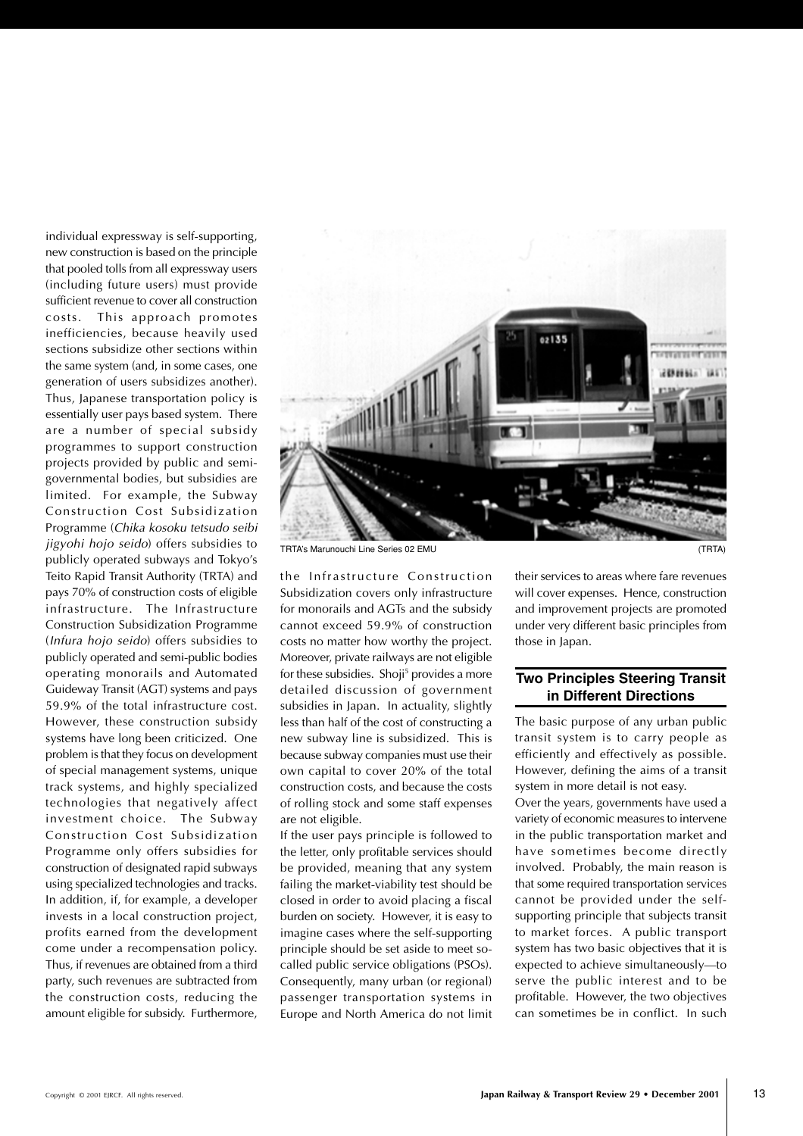individual expressway is self-supporting, new construction is based on the principle that pooled tolls from all expressway users (including future users) must provide sufficient revenue to cover all construction costs. This approach promotes inefficiencies, because heavily used sections subsidize other sections within the same system (and, in some cases, one generation of users subsidizes another). Thus, Japanese transportation policy is essentially user pays based system. There are a number of special subsidy programmes to support construction projects provided by public and semigovernmental bodies, but subsidies are limited. For example, the Subway Construction Cost Subsidization Programme (Chika kosoku tetsudo seibi jigyohi hojo seido) offers subsidies to publicly operated subways and Tokyo's Teito Rapid Transit Authority (TRTA) and pays 70% of construction costs of eligible infrastructure. The Infrastructure Construction Subsidization Programme (Infura hojo seido) offers subsidies to publicly operated and semi-public bodies operating monorails and Automated Guideway Transit (AGT) systems and pays 59.9% of the total infrastructure cost. However, these construction subsidy systems have long been criticized. One problem is that they focus on development of special management systems, unique track systems, and highly specialized technologies that negatively affect investment choice. The Subway Construction Cost Subsidization Programme only offers subsidies for construction of designated rapid subways using specialized technologies and tracks. In addition, if, for example, a developer invests in a local construction project, profits earned from the development come under a recompensation policy. Thus, if revenues are obtained from a third party, such revenues are subtracted from the construction costs, reducing the amount eligible for subsidy. Furthermore,



the Infrastructure Construction Subsidization covers only infrastructure for monorails and AGTs and the subsidy cannot exceed 59.9% of construction costs no matter how worthy the project. Moreover, private railways are not eligible for these subsidies. Shoji<sup>5</sup> provides a more detailed discussion of government subsidies in Japan. In actuality, slightly less than half of the cost of constructing a new subway line is subsidized. This is because subway companies must use their own capital to cover 20% of the total construction costs, and because the costs of rolling stock and some staff expenses are not eligible.

If the user pays principle is followed to the letter, only profitable services should be provided, meaning that any system failing the market-viability test should be closed in order to avoid placing a fiscal burden on society. However, it is easy to imagine cases where the self-supporting principle should be set aside to meet socalled public service obligations (PSOs). Consequently, many urban (or regional) passenger transportation systems in Europe and North America do not limit their services to areas where fare revenues will cover expenses. Hence, construction and improvement projects are promoted under very different basic principles from those in Japan.

## **Two Principles Steering Transit in Different Directions**

The basic purpose of any urban public transit system is to carry people as efficiently and effectively as possible. However, defining the aims of a transit system in more detail is not easy.

Over the years, governments have used a variety of economic measures to intervene in the public transportation market and have sometimes become directly involved. Probably, the main reason is that some required transportation services cannot be provided under the selfsupporting principle that subjects transit to market forces. A public transport system has two basic objectives that it is expected to achieve simultaneously—to serve the public interest and to be profitable. However, the two objectives can sometimes be in conflict. In such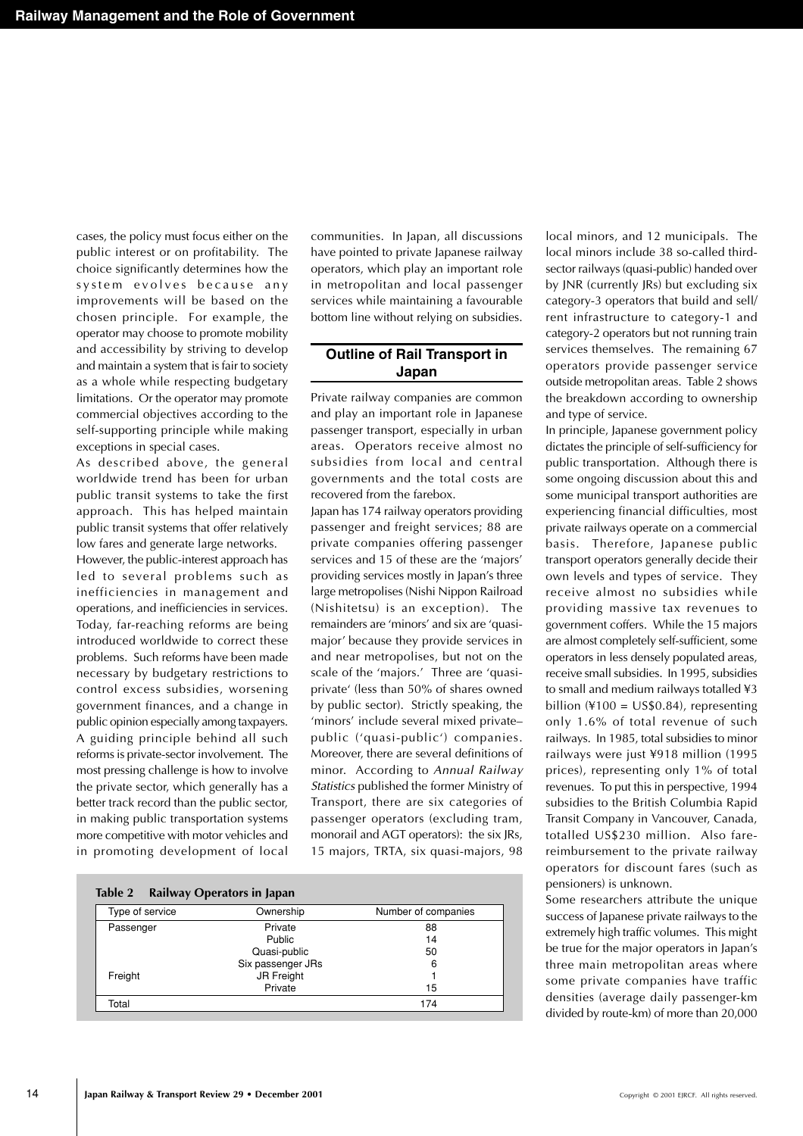cases, the policy must focus either on the public interest or on profitability. The choice significantly determines how the system evolves because any improvements will be based on the chosen principle. For example, the operator may choose to promote mobility and accessibility by striving to develop and maintain a system that is fair to society as a whole while respecting budgetary limitations. Or the operator may promote commercial objectives according to the self-supporting principle while making exceptions in special cases.

As described above, the general worldwide trend has been for urban public transit systems to take the first approach. This has helped maintain public transit systems that offer relatively low fares and generate large networks.

However, the public-interest approach has led to several problems such as inefficiencies in management and operations, and inefficiencies in services. Today, far-reaching reforms are being introduced worldwide to correct these problems. Such reforms have been made necessary by budgetary restrictions to control excess subsidies, worsening government finances, and a change in public opinion especially among taxpayers. A guiding principle behind all such reforms is private-sector involvement. The most pressing challenge is how to involve the private sector, which generally has a better track record than the public sector, in making public transportation systems more competitive with motor vehicles and in promoting development of local

communities. In Japan, all discussions have pointed to private Japanese railway operators, which play an important role in metropolitan and local passenger services while maintaining a favourable bottom line without relying on subsidies.

### **Outline of Rail Transport in Japan**

Private railway companies are common and play an important role in Japanese passenger transport, especially in urban areas. Operators receive almost no subsidies from local and central governments and the total costs are recovered from the farebox.

Japan has 174 railway operators providing passenger and freight services; 88 are private companies offering passenger services and 15 of these are the 'majors' providing services mostly in Japan's three large metropolises (Nishi Nippon Railroad (Nishitetsu) is an exception). The remainders are 'minors' and six are 'quasimajor' because they provide services in and near metropolises, but not on the scale of the 'majors.' Three are 'quasiprivate' (less than 50% of shares owned by public sector). Strictly speaking, the 'minors' include several mixed private– public ('quasi-public') companies. Moreover, there are several definitions of minor. According to Annual Railway Statistics published the former Ministry of Transport, there are six categories of passenger operators (excluding tram, monorail and AGT operators): the six JRs, 15 majors, TRTA, six quasi-majors, 98

| Table 2         | Railway Operators in Japan |                     |
|-----------------|----------------------------|---------------------|
| Type of service | Ownership                  | Number of companies |
| Passenger       | Private                    | 88                  |
|                 | Public                     | 14                  |
|                 | Quasi-public               | 50                  |
|                 | Six passenger JRs          | 6                   |
| Freight         | <b>JR Freight</b>          |                     |
|                 | Private                    | 15                  |
| Total           |                            | 174                 |

local minors, and 12 municipals. The local minors include 38 so-called thirdsector railways (quasi-public) handed over by JNR (currently JRs) but excluding six category-3 operators that build and sell/ rent infrastructure to category-1 and category-2 operators but not running train services themselves. The remaining 67 operators provide passenger service outside metropolitan areas. Table 2 shows the breakdown according to ownership and type of service.

In principle, Japanese government policy dictates the principle of self-sufficiency for public transportation. Although there is some ongoing discussion about this and some municipal transport authorities are experiencing financial difficulties, most private railways operate on a commercial basis. Therefore, Japanese public transport operators generally decide their own levels and types of service. They receive almost no subsidies while providing massive tax revenues to government coffers. While the 15 majors are almost completely self-sufficient, some operators in less densely populated areas, receive small subsidies. In 1995, subsidies to small and medium railways totalled ¥3 billion  $(4100 = US$0.84)$ , representing only 1.6% of total revenue of such railways. In 1985, total subsidies to minor railways were just ¥918 million (1995 prices), representing only 1% of total revenues. To put this in perspective, 1994 subsidies to the British Columbia Rapid Transit Company in Vancouver, Canada, totalled US\$230 million. Also farereimbursement to the private railway operators for discount fares (such as pensioners) is unknown.

Some researchers attribute the unique success of Japanese private railways to the extremely high traffic volumes. This might be true for the major operators in Japan's three main metropolitan areas where some private companies have traffic densities (average daily passenger-km divided by route-km) of more than 20,000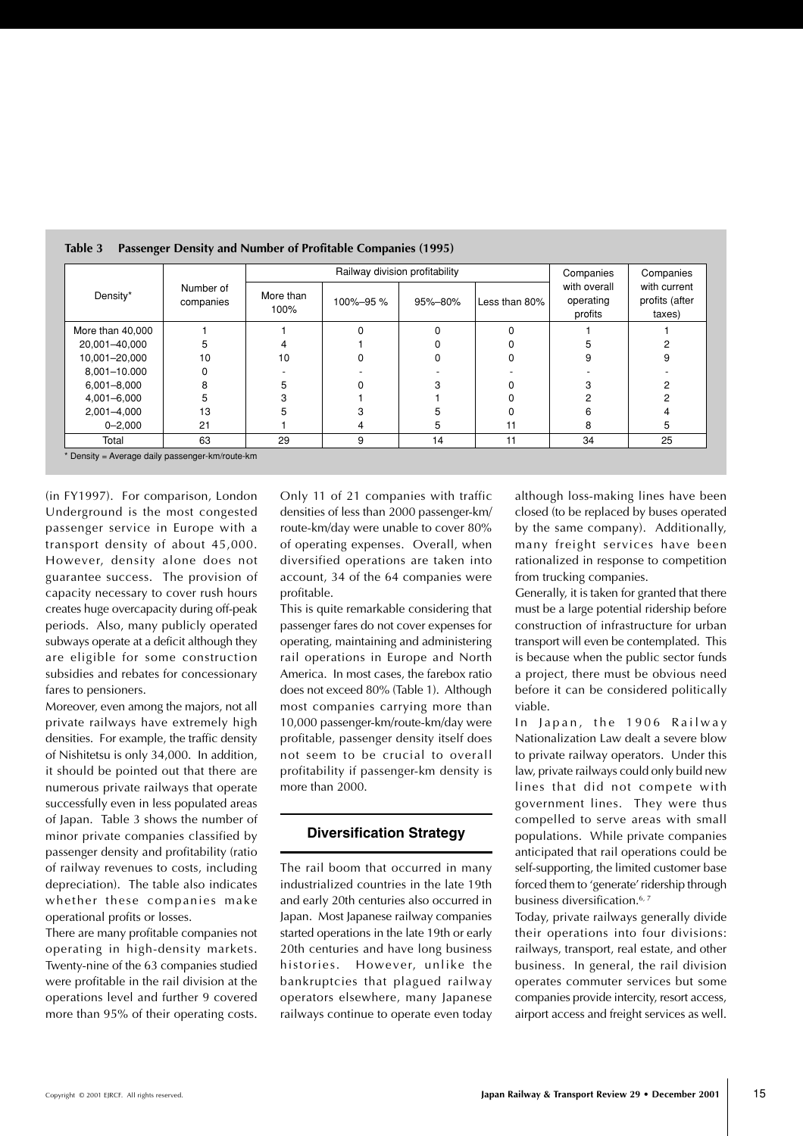|                  |                        |                   | Railway division profitability | Companies | Companies     |                                      |                                          |
|------------------|------------------------|-------------------|--------------------------------|-----------|---------------|--------------------------------------|------------------------------------------|
| Density*         | Number of<br>companies | More than<br>100% | 100%-95%                       | 95%-80%   | Less than 80% | with overall<br>operating<br>profits | with current<br>profits (after<br>taxes) |
| More than 40,000 |                        |                   | $\Omega$                       |           |               |                                      |                                          |
| 20,001-40,000    | 5                      |                   |                                |           |               |                                      |                                          |
| 10,001-20,000    | 10                     | 10                |                                |           |               |                                      |                                          |
| 8,001-10.000     |                        |                   |                                |           |               |                                      |                                          |
| $6,001 - 8,000$  | 8                      |                   |                                |           |               |                                      |                                          |
| 4,001-6,000      | 5                      |                   |                                |           |               |                                      |                                          |
| 2,001-4,000      | 13                     |                   |                                |           |               |                                      |                                          |
| $0 - 2,000$      | 21                     |                   | 4                              | :         |               | 8                                    |                                          |
| Total            | 63                     | 29                | 9                              | 14        | 11            | 34                                   | 25                                       |

#### **Table 3 Passenger Density and Number of Profitable Companies (1995)**

\* Density = Average daily passenger-km/route-km

(in FY1997). For comparison, London Underground is the most congested passenger service in Europe with a transport density of about 45,000. However, density alone does not guarantee success. The provision of capacity necessary to cover rush hours creates huge overcapacity during off-peak periods. Also, many publicly operated subways operate at a deficit although they are eligible for some construction subsidies and rebates for concessionary fares to pensioners.

Moreover, even among the majors, not all private railways have extremely high densities. For example, the traffic density of Nishitetsu is only 34,000. In addition, it should be pointed out that there are numerous private railways that operate successfully even in less populated areas of Japan. Table 3 shows the number of minor private companies classified by passenger density and profitability (ratio of railway revenues to costs, including depreciation). The table also indicates whether these companies make operational profits or losses.

There are many profitable companies not operating in high-density markets. Twenty-nine of the 63 companies studied were profitable in the rail division at the operations level and further 9 covered more than 95% of their operating costs.

Only 11 of 21 companies with traffic densities of less than 2000 passenger-km/ route-km/day were unable to cover 80% of operating expenses. Overall, when diversified operations are taken into account, 34 of the 64 companies were profitable.

This is quite remarkable considering that passenger fares do not cover expenses for operating, maintaining and administering rail operations in Europe and North America. In most cases, the farebox ratio does not exceed 80% (Table 1). Although most companies carrying more than 10,000 passenger-km/route-km/day were profitable, passenger density itself does not seem to be crucial to overall profitability if passenger-km density is more than 2000.

# **Diversification Strategy**

The rail boom that occurred in many industrialized countries in the late 19th and early 20th centuries also occurred in Japan. Most Japanese railway companies started operations in the late 19th or early 20th centuries and have long business histories. However, unlike the bankruptcies that plagued railway operators elsewhere, many Japanese railways continue to operate even today

although loss-making lines have been closed (to be replaced by buses operated by the same company). Additionally, many freight services have been rationalized in response to competition from trucking companies.

Generally, it is taken for granted that there must be a large potential ridership before construction of infrastructure for urban transport will even be contemplated. This is because when the public sector funds a project, there must be obvious need before it can be considered politically viable.

In Japan, the 1906 Railway Nationalization Law dealt a severe blow to private railway operators. Under this law, private railways could only build new lines that did not compete with government lines. They were thus compelled to serve areas with small populations. While private companies anticipated that rail operations could be self-supporting, the limited customer base forced them to 'generate' ridership through business diversification.<sup>6, 7</sup>

Today, private railways generally divide their operations into four divisions: railways, transport, real estate, and other business. In general, the rail division operates commuter services but some companies provide intercity, resort access, airport access and freight services as well.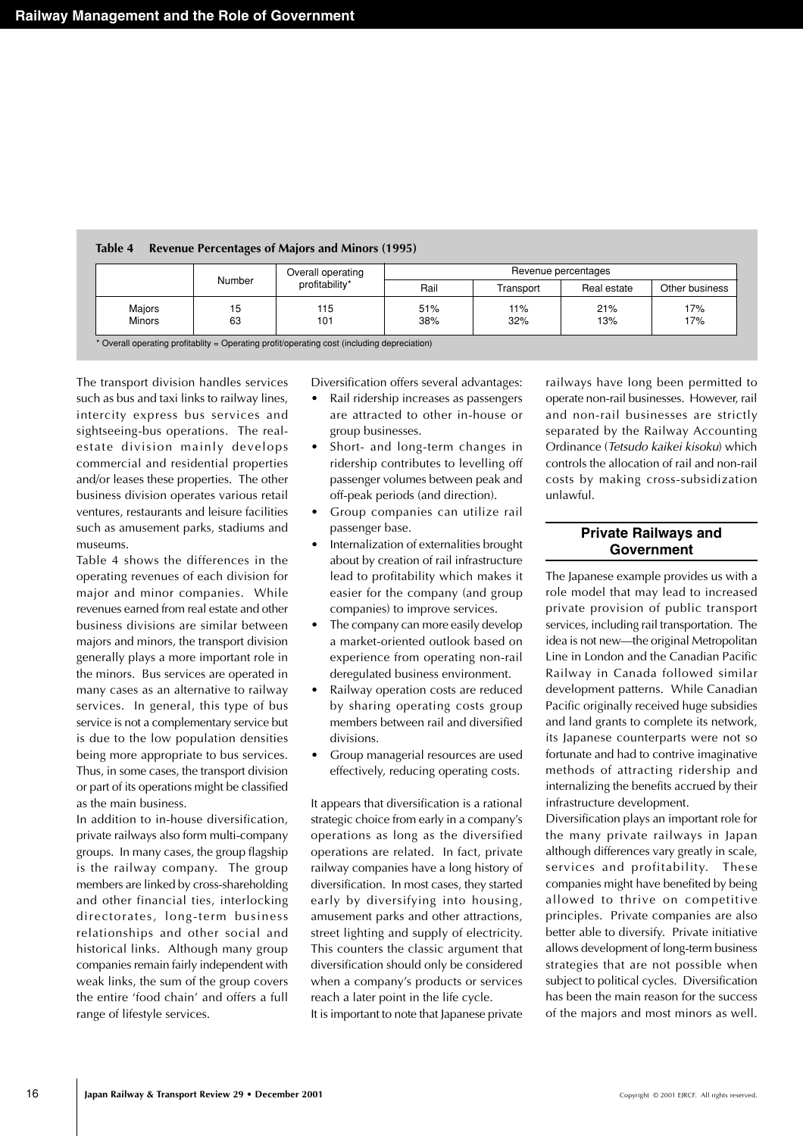|               |        | Overall operating<br>profitability* | Revenue percentages |           |             |                |  |
|---------------|--------|-------------------------------------|---------------------|-----------|-------------|----------------|--|
|               | Number |                                     | Rail                | Transport | Real estate | Other business |  |
| Majors        | 15     | 115                                 | 51%                 | 11%       | 21%         | 17%            |  |
| <b>Minors</b> | 63     | 101                                 | 38%                 | 32%       | 13%         | 17%            |  |

## **Table 4 Revenue Percentages of Majors and Minors (1995)**

The transport division handles services such as bus and taxi links to railway lines, intercity express bus services and sightseeing-bus operations. The realestate division mainly develops commercial and residential properties and/or leases these properties. The other business division operates various retail ventures, restaurants and leisure facilities such as amusement parks, stadiums and museums.

Table 4 shows the differences in the operating revenues of each division for major and minor companies. While revenues earned from real estate and other business divisions are similar between majors and minors, the transport division generally plays a more important role in the minors. Bus services are operated in many cases as an alternative to railway services. In general, this type of bus service is not a complementary service but is due to the low population densities being more appropriate to bus services. Thus, in some cases, the transport division or part of its operations might be classified as the main business.

In addition to in-house diversification, private railways also form multi-company groups. In many cases, the group flagship is the railway company. The group members are linked by cross-shareholding and other financial ties, interlocking directorates, long-term business relationships and other social and historical links. Although many group companies remain fairly independent with weak links, the sum of the group covers the entire 'food chain' and offers a full range of lifestyle services.

Diversification offers several advantages:

- Rail ridership increases as passengers are attracted to other in-house or group businesses.
- Short- and long-term changes in ridership contributes to levelling off passenger volumes between peak and off-peak periods (and direction).
- Group companies can utilize rail passenger base.
- Internalization of externalities brought about by creation of rail infrastructure lead to profitability which makes it easier for the company (and group companies) to improve services.
- The company can more easily develop a market-oriented outlook based on experience from operating non-rail deregulated business environment.
- Railway operation costs are reduced by sharing operating costs group members between rail and diversified divisions.
- Group managerial resources are used effectively, reducing operating costs.

It appears that diversification is a rational strategic choice from early in a company's operations as long as the diversified operations are related. In fact, private railway companies have a long history of diversification. In most cases, they started early by diversifying into housing, amusement parks and other attractions, street lighting and supply of electricity. This counters the classic argument that diversification should only be considered when a company's products or services reach a later point in the life cycle. It is important to note that Japanese private

railways have long been permitted to operate non-rail businesses. However, rail and non-rail businesses are strictly separated by the Railway Accounting Ordinance (Tetsudo kaikei kisoku) which controls the allocation of rail and non-rail costs by making cross-subsidization unlawful.

# **Private Railways and Government**

The Japanese example provides us with a role model that may lead to increased private provision of public transport services, including rail transportation. The idea is not new—the original Metropolitan Line in London and the Canadian Pacific Railway in Canada followed similar development patterns. While Canadian Pacific originally received huge subsidies and land grants to complete its network, its Japanese counterparts were not so fortunate and had to contrive imaginative methods of attracting ridership and internalizing the benefits accrued by their infrastructure development.

Diversification plays an important role for the many private railways in Japan although differences vary greatly in scale, services and profitability. These companies might have benefited by being allowed to thrive on competitive principles. Private companies are also better able to diversify. Private initiative allows development of long-term business strategies that are not possible when subject to political cycles. Diversification has been the main reason for the success of the majors and most minors as well.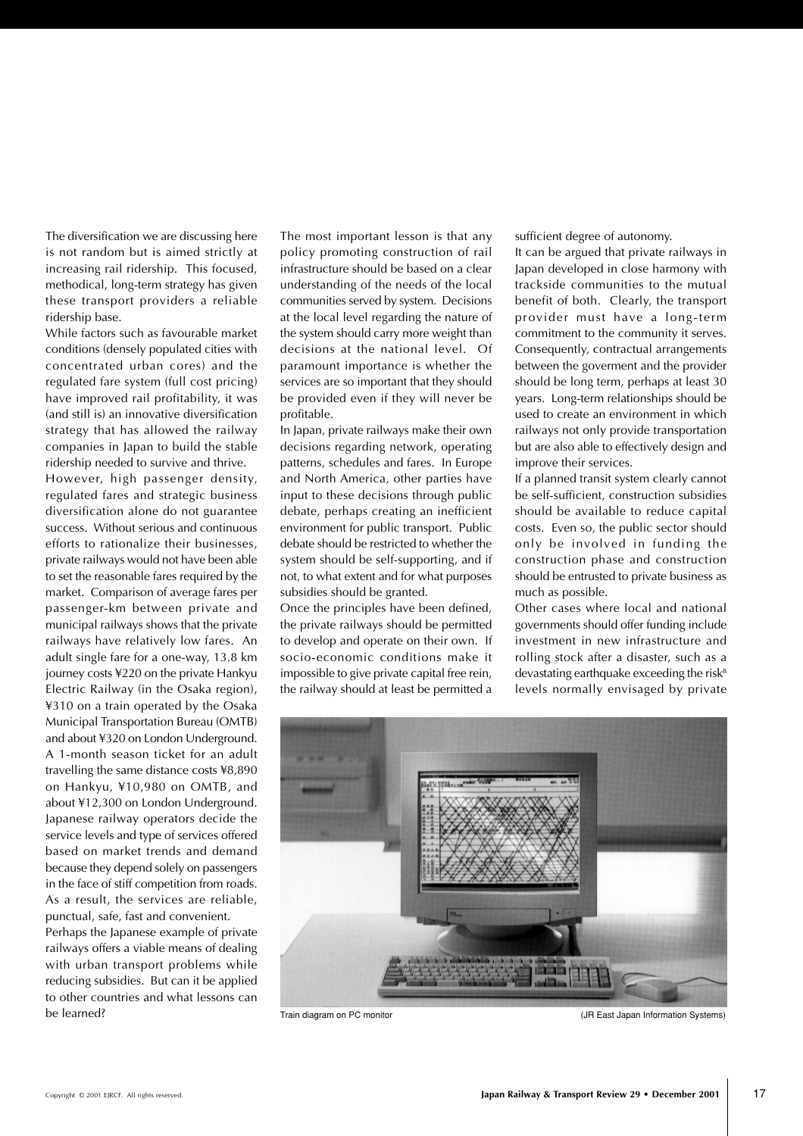The diversification we are discussing here is not random but is aimed strictly at increasing rail ridership. This focused, methodical, long-term strategy has given these transport providers a reliable ridership base.

While factors such as favourable market conditions (densely populated cities with concentrated urban cores) and the regulated fare system (full cost pricing) have improved rail profitability, it was (and still is) an innovative diversification strategy that has allowed the railway companies in Japan to build the stable ridership needed to survive and thrive.

However, high passenger density, regulated fares and strategic business diversification alone do not guarantee success. Without serious and continuous efforts to rationalize their businesses, private railways would not have been able to set the reasonable fares required by the market. Comparison of average fares per passenger-km between private and municipal railways shows that the private railways have relatively low fares. An adult single fare for a one-way, 13.8 km journey costs ¥220 on the private Hankyu Electric Railway (in the Osaka region), ¥310 on a train operated by the Osaka Municipal Transportation Bureau (OMTB) and about ¥320 on London Underground. A 1-month season ticket for an adult travelling the same distance costs ¥8,890 on Hankyu, ¥10,980 on OMTB, and about ¥12,300 on London Underground. Japanese railway operators decide the service levels and type of services offered based on market trends and demand because they depend solely on passengers in the face of stiff competition from roads. As a result, the services are reliable, punctual, safe, fast and convenient.

Perhaps the Japanese example of private railways offers a viable means of dealing with urban transport problems while reducing subsidies. But can it be applied to other countries and what lessons can be learned?

The most important lesson is that any policy promoting construction of rail infrastructure should be based on a clear understanding of the needs of the local communities served by system. Decisions at the local level regarding the nature of the system should carry more weight than decisions at the national level. Of paramount importance is whether the services are so important that they should be provided even if they will never be profitable.

In Japan, private railways make their own decisions regarding network, operating patterns, schedules and fares. In Europe and North America, other parties have input to these decisions through public debate, perhaps creating an inefficient environment for public transport. Public debate should be restricted to whether the system should be self-supporting, and if not, to what extent and for what purposes subsidies should be granted.

Once the principles have been defined, the private railways should be permitted to develop and operate on their own. If socio-economic conditions make it impossible to give private capital free rein, the railway should at least be permitted a

sufficient degree of autonomy.

It can be argued that private railways in Japan developed in close harmony with trackside communities to the mutual benefit of both. Clearly, the transport provider must have a long-term commitment to the community it serves. Consequently, contractual arrangements between the goverment and the provider should be long term, perhaps at least 30 years. Long-term relationships should be used to create an environment in which railways not only provide transportation but are also able to effectively design and improve their services.

If a planned transit system clearly cannot be self-sufficient, construction subsidies should be available to reduce capital costs. Even so, the public sector should only be involved in funding the construction phase and construction should be entrusted to private business as much as possible.

Other cases where local and national governments should offer funding include investment in new infrastructure and rolling stock after a disaster, such as a devastating earthquake exceeding the risk $8$ levels normally envisaged by private